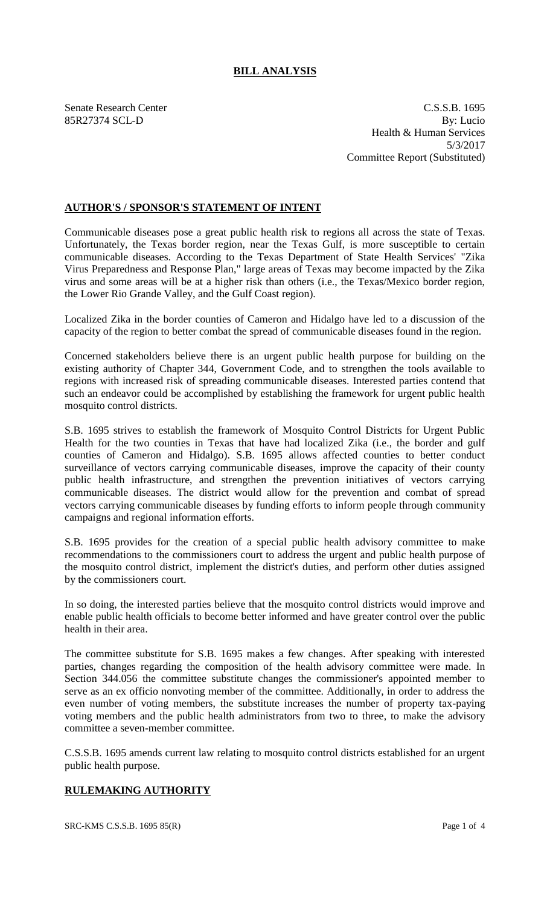# **BILL ANALYSIS**

Senate Research Center C.S.S.B. 1695 85R27374 SCL-D By: Lucio Health & Human Services 5/3/2017 Committee Report (Substituted)

## **AUTHOR'S / SPONSOR'S STATEMENT OF INTENT**

Communicable diseases pose a great public health risk to regions all across the state of Texas. Unfortunately, the Texas border region, near the Texas Gulf, is more susceptible to certain communicable diseases. According to the Texas Department of State Health Services' "Zika Virus Preparedness and Response Plan," large areas of Texas may become impacted by the Zika virus and some areas will be at a higher risk than others (i.e., the Texas/Mexico border region, the Lower Rio Grande Valley, and the Gulf Coast region).

Localized Zika in the border counties of Cameron and Hidalgo have led to a discussion of the capacity of the region to better combat the spread of communicable diseases found in the region.

Concerned stakeholders believe there is an urgent public health purpose for building on the existing authority of Chapter 344, Government Code, and to strengthen the tools available to regions with increased risk of spreading communicable diseases. Interested parties contend that such an endeavor could be accomplished by establishing the framework for urgent public health mosquito control districts.

S.B. 1695 strives to establish the framework of Mosquito Control Districts for Urgent Public Health for the two counties in Texas that have had localized Zika (i.e., the border and gulf counties of Cameron and Hidalgo). S.B. 1695 allows affected counties to better conduct surveillance of vectors carrying communicable diseases, improve the capacity of their county public health infrastructure, and strengthen the prevention initiatives of vectors carrying communicable diseases. The district would allow for the prevention and combat of spread vectors carrying communicable diseases by funding efforts to inform people through community campaigns and regional information efforts.

S.B. 1695 provides for the creation of a special public health advisory committee to make recommendations to the commissioners court to address the urgent and public health purpose of the mosquito control district, implement the district's duties, and perform other duties assigned by the commissioners court.

In so doing, the interested parties believe that the mosquito control districts would improve and enable public health officials to become better informed and have greater control over the public health in their area.

The committee substitute for S.B. 1695 makes a few changes. After speaking with interested parties, changes regarding the composition of the health advisory committee were made. In Section 344.056 the committee substitute changes the commissioner's appointed member to serve as an ex officio nonvoting member of the committee. Additionally, in order to address the even number of voting members, the substitute increases the number of property tax-paying voting members and the public health administrators from two to three, to make the advisory committee a seven-member committee.

C.S.S.B. 1695 amends current law relating to mosquito control districts established for an urgent public health purpose.

## **RULEMAKING AUTHORITY**

SRC-KMS C.S.S.B. 1695 85(R) Page 1 of 4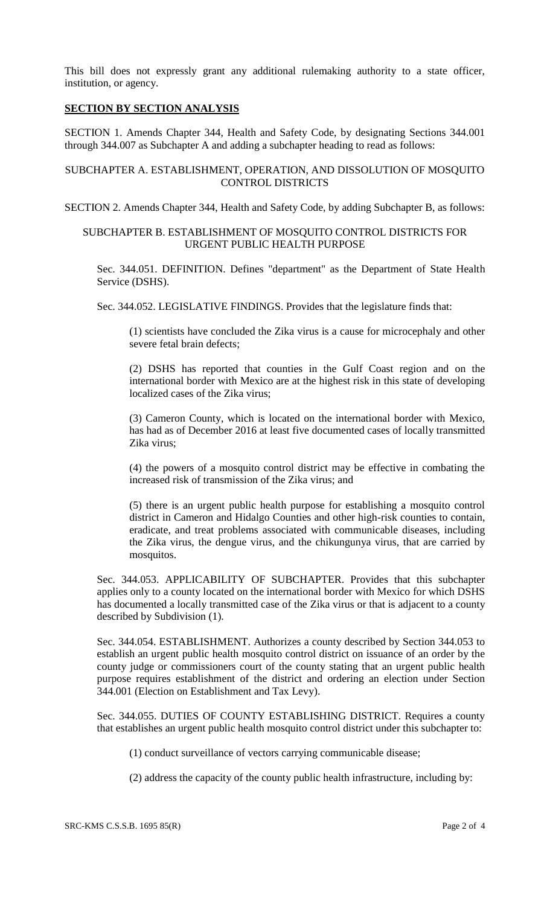This bill does not expressly grant any additional rulemaking authority to a state officer, institution, or agency.

### **SECTION BY SECTION ANALYSIS**

SECTION 1. Amends Chapter 344, Health and Safety Code, by designating Sections 344.001 through 344.007 as Subchapter A and adding a subchapter heading to read as follows:

#### SUBCHAPTER A. ESTABLISHMENT, OPERATION, AND DISSOLUTION OF MOSQUITO CONTROL DISTRICTS

SECTION 2. Amends Chapter 344, Health and Safety Code, by adding Subchapter B, as follows:

#### SUBCHAPTER B. ESTABLISHMENT OF MOSQUITO CONTROL DISTRICTS FOR URGENT PUBLIC HEALTH PURPOSE

Sec. 344.051. DEFINITION. Defines "department" as the Department of State Health Service (DSHS).

Sec. 344.052. LEGISLATIVE FINDINGS. Provides that the legislature finds that:

(1) scientists have concluded the Zika virus is a cause for microcephaly and other severe fetal brain defects;

(2) DSHS has reported that counties in the Gulf Coast region and on the international border with Mexico are at the highest risk in this state of developing localized cases of the Zika virus;

(3) Cameron County, which is located on the international border with Mexico, has had as of December 2016 at least five documented cases of locally transmitted Zika virus;

(4) the powers of a mosquito control district may be effective in combating the increased risk of transmission of the Zika virus; and

(5) there is an urgent public health purpose for establishing a mosquito control district in Cameron and Hidalgo Counties and other high-risk counties to contain, eradicate, and treat problems associated with communicable diseases, including the Zika virus, the dengue virus, and the chikungunya virus, that are carried by mosquitos.

Sec. 344.053. APPLICABILITY OF SUBCHAPTER. Provides that this subchapter applies only to a county located on the international border with Mexico for which DSHS has documented a locally transmitted case of the Zika virus or that is adjacent to a county described by Subdivision (1).

Sec. 344.054. ESTABLISHMENT. Authorizes a county described by Section 344.053 to establish an urgent public health mosquito control district on issuance of an order by the county judge or commissioners court of the county stating that an urgent public health purpose requires establishment of the district and ordering an election under Section 344.001 (Election on Establishment and Tax Levy).

Sec. 344.055. DUTIES OF COUNTY ESTABLISHING DISTRICT. Requires a county that establishes an urgent public health mosquito control district under this subchapter to:

(1) conduct surveillance of vectors carrying communicable disease;

(2) address the capacity of the county public health infrastructure, including by: